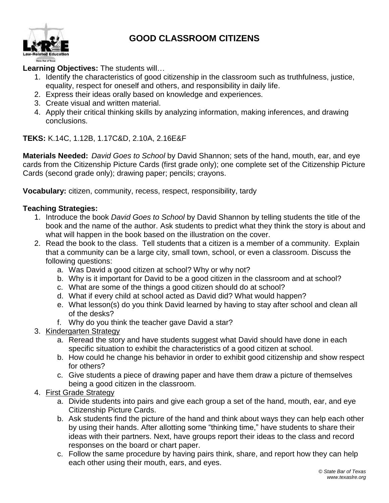

## **GOOD CLASSROOM CITIZENS**

**Learning Objectives:** The students will…

- 1. Identify the characteristics of good citizenship in the classroom such as truthfulness, justice, equality, respect for oneself and others, and responsibility in daily life.
- 2. Express their ideas orally based on knowledge and experiences.
- 3. Create visual and written material.
- 4. Apply their critical thinking skills by analyzing information, making inferences, and drawing conclusions.

**TEKS:** K.14C, 1.12B, 1.17C&D, 2.10A, 2.16E&F

**Materials Needed:** *David Goes to School* by David Shannon; sets of the hand, mouth, ear, and eye cards from the Citizenship Picture Cards (first grade only); one complete set of the Citizenship Picture Cards (second grade only); drawing paper; pencils; crayons.

**Vocabulary:** citizen, community, recess, respect, responsibility, tardy

### **Teaching Strategies:**

- 1. Introduce the book *David Goes to School* by David Shannon by telling students the title of the book and the name of the author. Ask students to predict what they think the story is about and what will happen in the book based on the illustration on the cover.
- 2. Read the book to the class. Tell students that a citizen is a member of a community. Explain that a community can be a large city, small town, school, or even a classroom. Discuss the following questions:
	- a. Was David a good citizen at school? Why or why not?
	- b. Why is it important for David to be a good citizen in the classroom and at school?
	- c. What are some of the things a good citizen should do at school?
	- d. What if every child at school acted as David did? What would happen?
	- e. What lesson(s) do you think David learned by having to stay after school and clean all of the desks?
	- f. Why do you think the teacher gave David a star?
- 3. Kindergarten Strategy
	- a. Reread the story and have students suggest what David should have done in each specific situation to exhibit the characteristics of a good citizen at school.
	- b. How could he change his behavior in order to exhibit good citizenship and show respect for others?
	- c. Give students a piece of drawing paper and have them draw a picture of themselves being a good citizen in the classroom.
- 4. First Grade Strategy
	- a. Divide students into pairs and give each group a set of the hand, mouth, ear, and eye Citizenship Picture Cards.
	- b. Ask students find the picture of the hand and think about ways they can help each other by using their hands. After allotting some "thinking time," have students to share their ideas with their partners. Next, have groups report their ideas to the class and record responses on the board or chart paper.
	- c. Follow the same procedure by having pairs think, share, and report how they can help each other using their mouth, ears, and eyes.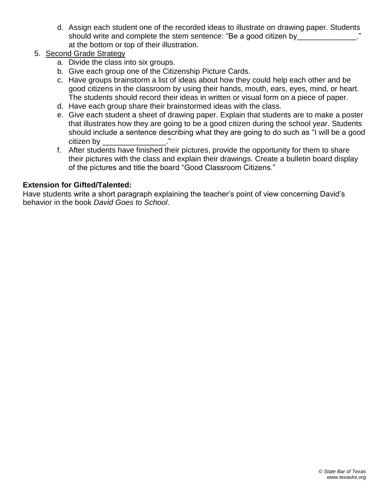d. Assign each student one of the recorded ideas to illustrate on drawing paper. Students should write and complete the stem sentence: "Be a good citizen by  $\blacksquare$ ." at the bottom or top of their illustration.

### 5. Second Grade Strategy

- a. Divide the class into six groups.
- b. Give each group one of the Citizenship Picture Cards.
- c. Have groups brainstorm a list of ideas about how they could help each other and be good citizens in the classroom by using their hands, mouth, ears, eyes, mind, or heart. The students should record their ideas in written or visual form on a piece of paper.
- d. Have each group share their brainstormed ideas with the class.
- e. Give each student a sheet of drawing paper. Explain that students are to make a poster that illustrates how they are going to be a good citizen during the school year. Students should include a sentence describing what they are going to do such as "I will be a good citizen by \_\_\_\_\_\_\_\_\_\_\_\_\_\_\_."
- f. After students have finished their pictures, provide the opportunity for them to share their pictures with the class and explain their drawings. Create a bulletin board display of the pictures and title the board "Good Classroom Citizens."

#### **Extension for Gifted/Talented:**

Have students write a short paragraph explaining the teacher's point of view concerning David's behavior in the book *David Goes to School*.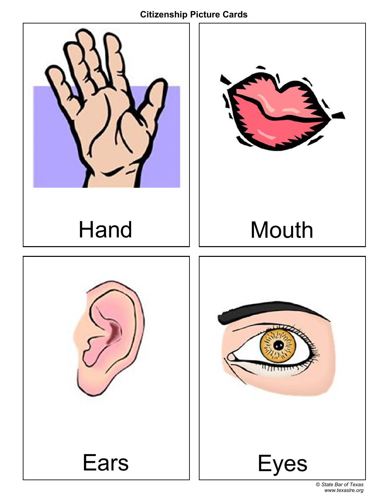# **Citizenship Picture Cards**



© *State Bar of Texas www.texaslre.org*